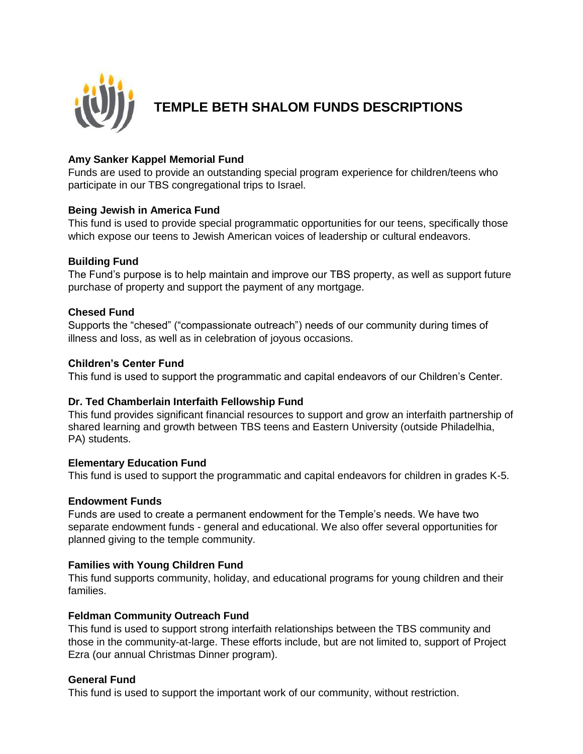

# **TEMPLE BETH SHALOM FUNDS DESCRIPTIONS**

# **Amy Sanker Kappel Memorial Fund**

Funds are used to provide an outstanding special program experience for children/teens who participate in our TBS congregational trips to Israel.

# **Being Jewish in America Fund**

This fund is used to provide special programmatic opportunities for our teens, specifically those which expose our teens to Jewish American voices of leadership or cultural endeavors.

# **Building Fund**

The Fund's purpose is to help maintain and improve our TBS property, as well as support future purchase of property and support the payment of any mortgage.

# **Chesed Fund**

Supports the "chesed" ("compassionate outreach") needs of our community during times of illness and loss, as well as in celebration of joyous occasions.

#### **Children's Center Fund**

This fund is used to support the programmatic and capital endeavors of our Children's Center.

#### **Dr. Ted Chamberlain Interfaith Fellowship Fund**

This fund provides significant financial resources to support and grow an interfaith partnership of shared learning and growth between TBS teens and Eastern University (outside Philadelhia, PA) students.

#### **Elementary Education Fund**

This fund is used to support the programmatic and capital endeavors for children in grades K-5.

#### **Endowment Funds**

Funds are used to create a permanent endowment for the Temple's needs. We have two separate endowment funds - general and educational. We also offer several opportunities for planned giving to the temple community.

# **Families with Young Children Fund**

This fund supports community, holiday, and educational programs for young children and their families.

#### **Feldman Community Outreach Fund**

This fund is used to support strong interfaith relationships between the TBS community and those in the community-at-large. These efforts include, but are not limited to, support of Project Ezra (our annual Christmas Dinner program).

#### **General Fund**

This fund is used to support the important work of our community, without restriction.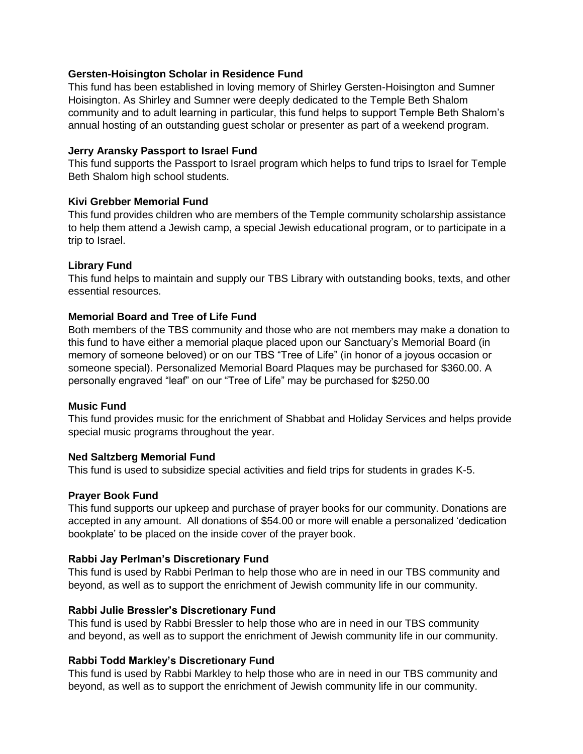# **Gersten-Hoisington Scholar in Residence Fund**

This fund has been established in loving memory of Shirley Gersten-Hoisington and Sumner Hoisington. As Shirley and Sumner were deeply dedicated to the Temple Beth Shalom community and to adult learning in particular, this fund helps to support Temple Beth Shalom's annual hosting of an outstanding guest scholar or presenter as part of a weekend program.

#### **Jerry Aransky Passport to Israel Fund**

This fund supports the Passport to Israel program which helps to fund trips to Israel for Temple Beth Shalom high school students.

# **Kivi Grebber Memorial Fund**

This fund provides children who are members of the Temple community scholarship assistance to help them attend a Jewish camp, a special Jewish educational program, or to participate in a trip to Israel.

# **Library Fund**

This fund helps to maintain and supply our TBS Library with outstanding books, texts, and other essential resources.

# **Memorial Board and Tree of Life Fund**

Both members of the TBS community and those who are not members may make a donation to this fund to have either a memorial plaque placed upon our Sanctuary's Memorial Board (in memory of someone beloved) or on our TBS "Tree of Life" (in honor of a joyous occasion or someone special). Personalized Memorial Board Plaques may be purchased for \$360.00. A personally engraved "leaf" on our "Tree of Life" may be purchased for \$250.00

#### **Music Fund**

This fund provides music for the enrichment of Shabbat and Holiday Services and helps provide special music programs throughout the year.

#### **Ned Saltzberg Memorial Fund**

This fund is used to subsidize special activities and field trips for students in grades K-5.

#### **Prayer Book Fund**

This fund supports our upkeep and purchase of prayer books for our community. Donations are accepted in any amount. All donations of \$54.00 or more will enable a personalized 'dedication bookplate' to be placed on the inside cover of the prayer book.

#### **Rabbi Jay Perlman's Discretionary Fund**

This fund is used by Rabbi Perlman to help those who are in need in our TBS community and beyond, as well as to support the enrichment of Jewish community life in our community.

#### **Rabbi Julie Bressler's Discretionary Fund**

This fund is used by Rabbi Bressler to help those who are in need in our TBS community and beyond, as well as to support the enrichment of Jewish community life in our community.

#### **Rabbi Todd Markley's Discretionary Fund**

This fund is used by Rabbi Markley to help those who are in need in our TBS community and beyond, as well as to support the enrichment of Jewish community life in our community.